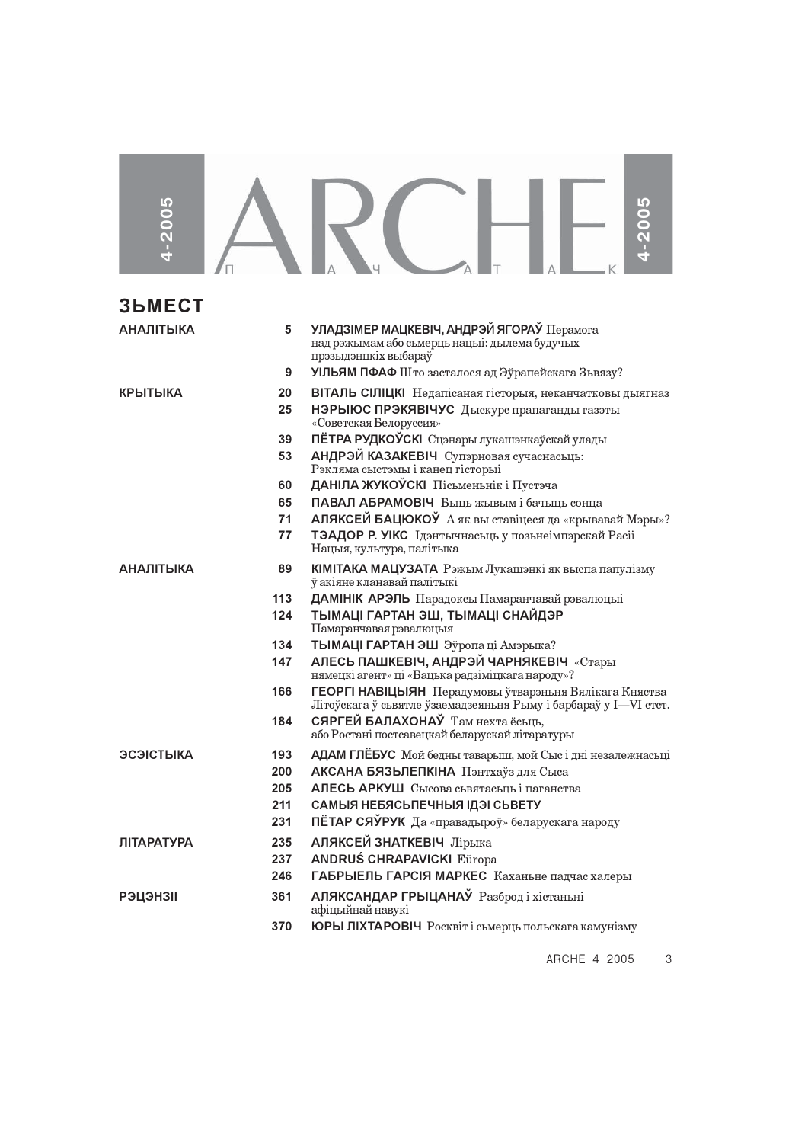| 4-2005            |     |                                                                                                                            |
|-------------------|-----|----------------------------------------------------------------------------------------------------------------------------|
| <b>3bMECT</b>     |     |                                                                                                                            |
| <b>АНАЛІТЫКА</b>  | 5   | УЛАДЗІМЕР МАЦКЕВІЧ, АНДРЭЙ ЯГОРАЎ Перамога<br>над рэжымам або сьмерць нацыі: дылема будучых<br>прэзыдэнцкіх выбараў        |
|                   | 9   | УІЛЬЯМ ПФАФ Што засталося ад Эўрапейскага Зьвязу?                                                                          |
| <b>КРЫТЫКА</b>    | 20  | ВІТАЛЬ СІЛІЦКІ Недапісаная гісторыя, неканчатковы дыягназ                                                                  |
|                   | 25  | НЭРЫЮС ПРЭКЯВІЧУС Дыскурс прапаганды газэты<br>«Советская Белоруссия»                                                      |
|                   | 39  | ПЁТРА РУДКОЎСКІ Сцэнары лукашэнкаўскай улады                                                                               |
|                   | 53  | АНДРЭЙ КАЗАКЕВІЧ Супэрновая сучаснасьць:<br>Рэкляма сыстэмы і канец гісторыі                                               |
|                   | 60  | ДАНІЛА ЖУКОЎСКІ Пісьменьнік і Пустэча                                                                                      |
|                   | 65  | ПАВАЛ АБРАМОВІЧ Быць жывым і бачыць сонца                                                                                  |
|                   | 71  | АЛЯКСЕЙ БАЦЮКОЎ А як вы ставіцеся да «крывавай Мэры»?                                                                      |
|                   | 77  | ТЭАДОР Р. УІКС Ідэнтычнасьць у позьнеімпэрскай Расіі<br>Нацыя, культура, палітыка                                          |
| <b>АНАЛІТЫКА</b>  | 89  | КІМІТАКА МАЦУЗАТА Рэжым Лукашэнкі як выспа папулізму<br>ў акіяне кланавай палітыкі                                         |
|                   | 113 | ДАМІНІК АРЭЛЬ Парадоксы Памаранчавай рэвалюцыі                                                                             |
|                   | 124 | ТЫМАЦІ ГАРТАН ЭШ, ТЫМАЦІ СНАЙДЭР<br>Памаранчавая рэвалюцыя                                                                 |
|                   | 134 | ТЫМАЦІ ГАРТАН ЭШ Эўропаці Амэрыка?                                                                                         |
|                   | 147 | АЛЕСЬ ПАШКЕВІЧ, АНДРЭЙ ЧАРНЯКЕВІЧ «Стары<br>нямецкі агент» ці «Бацька радзіміцкага народу»?                                |
|                   | 166 | ГЕОРГІ НАВІЦЫЯН Перадумовы ўтварэныня Вялікага Княства<br>Літоўскага ў сьвятле ўзаемадзеяньня Рыму і барбараў у I—VI стст. |
|                   | 184 | СЯРГЕЙ БАЛАХОНАЎ Там нехта ёсьць,<br>або Ростані постсавецкай беларускай літаратуры                                        |
| ЭСЭІСТЫКА         | 193 | <b>АДАМ ГЛЁБУС</b> Мой бедны таварыш, мой Сыс і дні незалежнасьці                                                          |
|                   | 200 | АКСАНА БЯЗЬЛЕПКІНА Пэнтхаўз для Сыса                                                                                       |
|                   | 205 | АЛЕСЬ АРКУШ Сысова съвятасьць і паганства                                                                                  |
|                   | 211 | САМЫЯ НЕБЯСЬПЕЧНЫЯ ІДЭІ СЬВЕТУ                                                                                             |
|                   | 231 | ПЁТАР СЯЎРУК Да «правадыроў» беларускага народу                                                                            |
| <b>ЛІТАРАТУРА</b> | 235 | АЛЯКСЕЙ ЗНАТКЕВІЧ Лірыка                                                                                                   |
|                   | 237 | <b>ANDRUŚ CHRAPAVICKI Eŭropa</b>                                                                                           |
|                   | 246 | ГАБРЫЕЛЬ ГАРСІЯ МАРКЕС Каханьне падчас халеры                                                                              |
| <b>РЭЦЭНЗІІ</b>   | 361 | <b>АЛЯКСАНДАР ГРЫЦАНАЎ</b> Разброд і хістаньні<br>афіцыйнай навукі                                                         |
|                   | 370 | ЮРЫ ЛІХТАРОВІЧ Росквіт і сьмерць польскага камунізму                                                                       |

ARCHE 4 2005 3